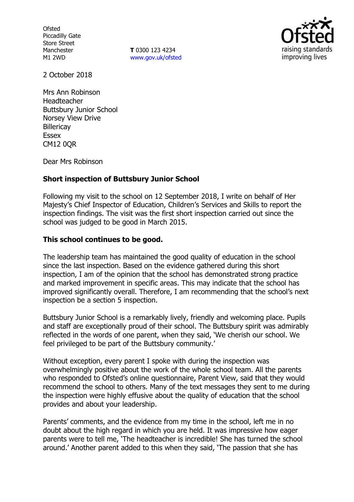**Ofsted** Piccadilly Gate Store Street Manchester M1 2WD

**T** 0300 123 4234 [www.gov.uk/ofsted](http://www.gov.uk/ofsted)



2 October 2018

Mrs Ann Robinson Headteacher Buttsbury Junior School Norsey View Drive **Billericay** Essex CM12 0QR

Dear Mrs Robinson

## **Short inspection of Buttsbury Junior School**

Following my visit to the school on 12 September 2018, I write on behalf of Her Majesty's Chief Inspector of Education, Children's Services and Skills to report the inspection findings. The visit was the first short inspection carried out since the school was judged to be good in March 2015.

## **This school continues to be good.**

The leadership team has maintained the good quality of education in the school since the last inspection. Based on the evidence gathered during this short inspection, I am of the opinion that the school has demonstrated strong practice and marked improvement in specific areas. This may indicate that the school has improved significantly overall. Therefore, I am recommending that the school's next inspection be a section 5 inspection.

Buttsbury Junior School is a remarkably lively, friendly and welcoming place. Pupils and staff are exceptionally proud of their school. The Buttsbury spirit was admirably reflected in the words of one parent, when they said, 'We cherish our school. We feel privileged to be part of the Buttsbury community.'

Without exception, every parent I spoke with during the inspection was overwhelmingly positive about the work of the whole school team. All the parents who responded to Ofsted's online questionnaire, Parent View, said that they would recommend the school to others. Many of the text messages they sent to me during the inspection were highly effusive about the quality of education that the school provides and about your leadership.

Parents' comments, and the evidence from my time in the school, left me in no doubt about the high regard in which you are held. It was impressive how eager parents were to tell me, 'The headteacher is incredible! She has turned the school around.' Another parent added to this when they said, 'The passion that she has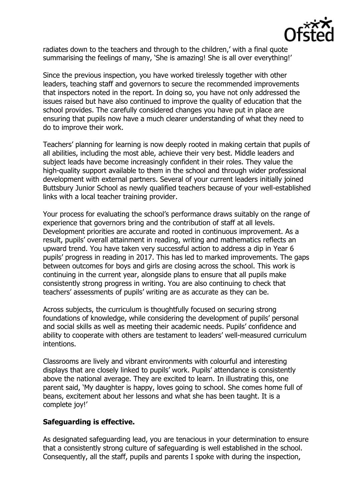

radiates down to the teachers and through to the children,' with a final quote summarising the feelings of many, 'She is amazing! She is all over everything!'

Since the previous inspection, you have worked tirelessly together with other leaders, teaching staff and governors to secure the recommended improvements that inspectors noted in the report. In doing so, you have not only addressed the issues raised but have also continued to improve the quality of education that the school provides. The carefully considered changes you have put in place are ensuring that pupils now have a much clearer understanding of what they need to do to improve their work.

Teachers' planning for learning is now deeply rooted in making certain that pupils of all abilities, including the most able, achieve their very best. Middle leaders and subject leads have become increasingly confident in their roles. They value the high-quality support available to them in the school and through wider professional development with external partners. Several of your current leaders initially joined Buttsbury Junior School as newly qualified teachers because of your well-established links with a local teacher training provider.

Your process for evaluating the school's performance draws suitably on the range of experience that governors bring and the contribution of staff at all levels. Development priorities are accurate and rooted in continuous improvement. As a result, pupils' overall attainment in reading, writing and mathematics reflects an upward trend. You have taken very successful action to address a dip in Year 6 pupils' progress in reading in 2017. This has led to marked improvements. The gaps between outcomes for boys and girls are closing across the school. This work is continuing in the current year, alongside plans to ensure that all pupils make consistently strong progress in writing. You are also continuing to check that teachers' assessments of pupils' writing are as accurate as they can be.

Across subjects, the curriculum is thoughtfully focused on securing strong foundations of knowledge, while considering the development of pupils' personal and social skills as well as meeting their academic needs. Pupils' confidence and ability to cooperate with others are testament to leaders' well-measured curriculum intentions.

Classrooms are lively and vibrant environments with colourful and interesting displays that are closely linked to pupils' work. Pupils' attendance is consistently above the national average. They are excited to learn. In illustrating this, one parent said, 'My daughter is happy, loves going to school. She comes home full of beans, excitement about her lessons and what she has been taught. It is a complete joy!'

## **Safeguarding is effective.**

As designated safeguarding lead, you are tenacious in your determination to ensure that a consistently strong culture of safeguarding is well established in the school. Consequently, all the staff, pupils and parents I spoke with during the inspection,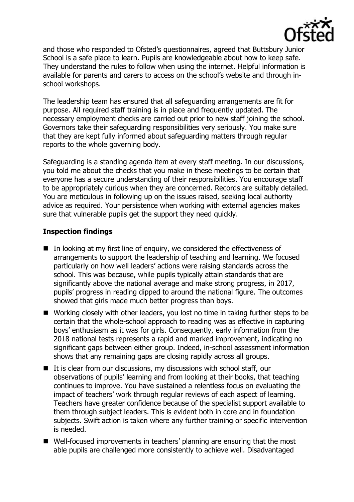

and those who responded to Ofsted's questionnaires, agreed that Buttsbury Junior School is a safe place to learn. Pupils are knowledgeable about how to keep safe. They understand the rules to follow when using the internet. Helpful information is available for parents and carers to access on the school's website and through inschool workshops.

The leadership team has ensured that all safeguarding arrangements are fit for purpose. All required staff training is in place and frequently updated. The necessary employment checks are carried out prior to new staff joining the school. Governors take their safeguarding responsibilities very seriously. You make sure that they are kept fully informed about safeguarding matters through regular reports to the whole governing body.

Safeguarding is a standing agenda item at every staff meeting. In our discussions, you told me about the checks that you make in these meetings to be certain that everyone has a secure understanding of their responsibilities. You encourage staff to be appropriately curious when they are concerned. Records are suitably detailed. You are meticulous in following up on the issues raised, seeking local authority advice as required. Your persistence when working with external agencies makes sure that vulnerable pupils get the support they need quickly.

# **Inspection findings**

- $\blacksquare$  In looking at my first line of enguiry, we considered the effectiveness of arrangements to support the leadership of teaching and learning. We focused particularly on how well leaders' actions were raising standards across the school. This was because, while pupils typically attain standards that are significantly above the national average and make strong progress, in 2017, pupils' progress in reading dipped to around the national figure. The outcomes showed that girls made much better progress than boys.
- Working closely with other leaders, you lost no time in taking further steps to be certain that the whole-school approach to reading was as effective in capturing boys' enthusiasm as it was for girls. Consequently, early information from the 2018 national tests represents a rapid and marked improvement, indicating no significant gaps between either group. Indeed, in-school assessment information shows that any remaining gaps are closing rapidly across all groups.
- $\blacksquare$  It is clear from our discussions, my discussions with school staff, our observations of pupils' learning and from looking at their books, that teaching continues to improve. You have sustained a relentless focus on evaluating the impact of teachers' work through regular reviews of each aspect of learning. Teachers have greater confidence because of the specialist support available to them through subject leaders. This is evident both in core and in foundation subjects. Swift action is taken where any further training or specific intervention is needed.
- Well-focused improvements in teachers' planning are ensuring that the most able pupils are challenged more consistently to achieve well. Disadvantaged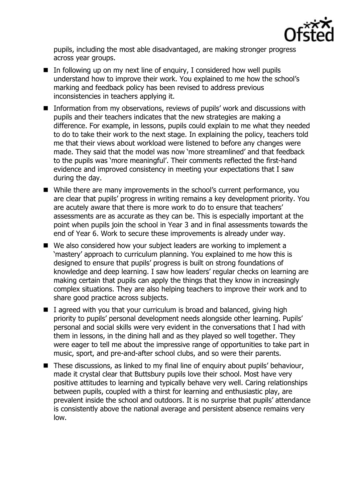

pupils, including the most able disadvantaged, are making stronger progress across year groups.

- $\blacksquare$  In following up on my next line of enguiry, I considered how well pupils understand how to improve their work. You explained to me how the school's marking and feedback policy has been revised to address previous inconsistencies in teachers applying it.
- Information from my observations, reviews of pupils' work and discussions with pupils and their teachers indicates that the new strategies are making a difference. For example, in lessons, pupils could explain to me what they needed to do to take their work to the next stage. In explaining the policy, teachers told me that their views about workload were listened to before any changes were made. They said that the model was now 'more streamlined' and that feedback to the pupils was 'more meaningful'. Their comments reflected the first-hand evidence and improved consistency in meeting your expectations that I saw during the day.
- While there are many improvements in the school's current performance, you are clear that pupils' progress in writing remains a key development priority. You are acutely aware that there is more work to do to ensure that teachers' assessments are as accurate as they can be. This is especially important at the point when pupils join the school in Year 3 and in final assessments towards the end of Year 6. Work to secure these improvements is already under way.
- We also considered how your subject leaders are working to implement a 'mastery' approach to curriculum planning. You explained to me how this is designed to ensure that pupils' progress is built on strong foundations of knowledge and deep learning. I saw how leaders' regular checks on learning are making certain that pupils can apply the things that they know in increasingly complex situations. They are also helping teachers to improve their work and to share good practice across subjects.
- $\blacksquare$  I agreed with you that your curriculum is broad and balanced, giving high priority to pupils' personal development needs alongside other learning. Pupils' personal and social skills were very evident in the conversations that I had with them in lessons, in the dining hall and as they played so well together. They were eager to tell me about the impressive range of opportunities to take part in music, sport, and pre-and-after school clubs, and so were their parents.
- These discussions, as linked to my final line of enquiry about pupils' behaviour, made it crystal clear that Buttsbury pupils love their school. Most have very positive attitudes to learning and typically behave very well. Caring relationships between pupils, coupled with a thirst for learning and enthusiastic play, are prevalent inside the school and outdoors. It is no surprise that pupils' attendance is consistently above the national average and persistent absence remains very low.